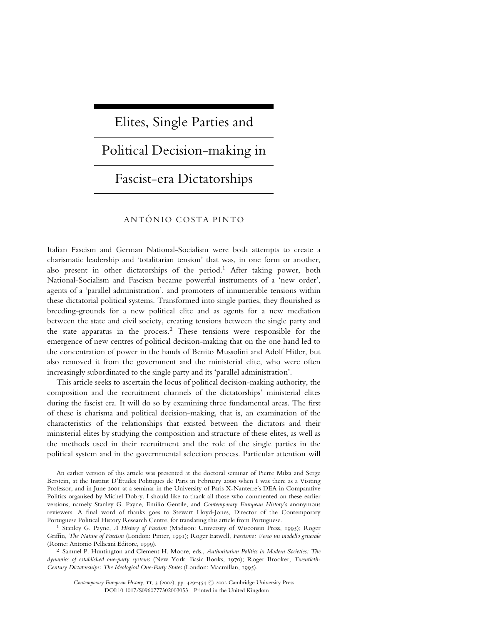Elites, Single Parties and

# Political Decision-making in

# Fascist-era Dictatorships

# ANTÓNIO COSTA PINTO

Italian Fascism and German National-Socialism were both attempts to create a charismatic leadership and `totalitarian tension' that was, in one form or another, also present in other dictatorships of the period.<sup>1</sup> After taking power, both National-Socialism and Fascism became powerful instruments of a `new order', agents of a `parallel administration', and promoters of innumerable tensions within these dictatorial political systems. Transformed into single parties, they flourished as breeding-grounds for a new political elite and as agents for a new mediation between the state and civil society, creating tensions between the single party and the state apparatus in the process.<sup>2</sup> These tensions were responsible for the emergence of new centres of political decision-making that on the one hand led to the concentration of power in the hands of Benito Mussolini and Adolf Hitler, but also removed it from the government and the ministerial elite, who were often increasingly subordinated to the single party and its `parallel administration'.

This article seeks to ascertain the locus of political decision-making authority, the composition and the recruitment channels of the dictatorships' ministerial elites during the fascist era. It will do so by examining three fundamental areas. The first of these is charisma and political decision-making, that is, an examination of the characteristics of the relationships that existed between the dictators and their ministerial elites by studying the composition and structure of these elites, as well as the methods used in their recruitment and the role of the single parties in the political system and in the governmental selection process. Particular attention will

An earlier version of this article was presented at the doctoral seminar of Pierre Milza and Serge Berstein, at the Institut D'Études Politiques de Paris in February 2000 when I was there as a Visiting Professor, and in June 2001 at a seminar in the University of Paris X-Nanterre's DEA in Comparative Politics organised by Michel Dobry. I should like to thank all those who commented on these earlier versions, namely Stanley G. Payne, Emilio Gentile, and Contemporary European History's anonymous reviewers. A final word of thanks goes to Stewart Lloyd-Jones, Director of the Contemporary Portuguese Political History Research Centre, for translating this article from Portuguese.

<sup>1</sup> Stanley G. Payne, A History of Fascism (Madison: University of Wisconsin Press, 1995); Roger Griffin, The Nature of Fascism (London: Pinter, 1991); Roger Eatwell, Fascismo: Verso un modello generale (Rome: Antonio Pellicani Editore, 1999).

<sup>2</sup> Samuel P. Huntington and Clement H. Moore, eds., Authoritarian Politics in Modern Societies: The dynamics of established one-party systems (New York: Basic Books, 1970); Roger Brooker, Twentieth-Century Dictatorships: The Ideological One-Party States (London: Macmillan, 1995).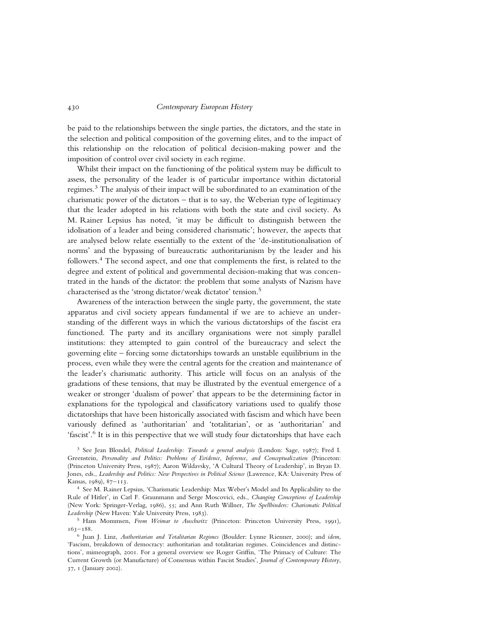be paid to the relationships between the single parties, the dictators, and the state in the selection and political composition of the governing elites, and to the impact of this relationship on the relocation of political decision-making power and the imposition of control over civil society in each regime.

Whilst their impact on the functioning of the political system may be difficult to assess, the personality of the leader is of particular importance within dictatorial regimes.<sup>3</sup> The analysis of their impact will be subordinated to an examination of the charismatic power of the dictators  $-$  that is to say, the Weberian type of legitimacy that the leader adopted in his relations with both the state and civil society. As M. Rainer Lepsius has noted, 'it may be difficult to distinguish between the idolisation of a leader and being considered charismatic'; however, the aspects that are analysed below relate essentially to the extent of the `de-institutionalisation of norms' and the bypassing of bureaucratic authoritarianism by the leader and his followers.<sup>4</sup> The second aspect, and one that complements the first, is related to the degree and extent of political and governmental decision-making that was concentrated in the hands of the dictator: the problem that some analysts of Nazism have characterised as the `strong dictator/weak dictator' tension.<sup>5</sup>

Awareness of the interaction between the single party, the government, the state apparatus and civil society appears fundamental if we are to achieve an understanding of the different ways in which the various dictatorships of the fascist era functioned. The party and its ancillary organisations were not simply parallel institutions: they attempted to gain control of the bureaucracy and select the governing elite  $-\overline{}$  forcing some dictatorships towards an unstable equilibrium in the process, even while they were the central agents for the creation and maintenance of the leader's charismatic authority. This article will focus on an analysis of the gradations of these tensions, that may be illustrated by the eventual emergence of a weaker or stronger 'dualism of power' that appears to be the determining factor in explanations for the typological and classificatory variations used to qualify those dictatorships that have been historically associated with fascism and which have been variously defined as 'authoritarian' and 'totalitarian', or as 'authoritarian' and `fascist'.<sup>6</sup> It is in this perspective that we will study four dictatorships that have each

<sup>&</sup>lt;sup>3</sup> See Jean Blondel, *Political Leadership: Towards a general analysis* (London: Sage, 1987); Fred I. Greenstein, Personality and Politics: Problems of Evidence, Inference, and Conceptualization (Princeton: (Princeton University Press, 1987); Aaron Wildavsky, `A Cultural Theory of Leadership', in Bryan D. Jones, eds., Leadership and Politics: New Perspectives in Political Science (Lawrence, KA: University Press of Kansas, 1989), 87-113.

<sup>4</sup> See M. Rainer Lepsius, `Charismatic Leadership: Max Weber's Model and Its Applicability to the Rule of Hitler', in Carl F. Graunmann and Serge Moscovici, eds., Changing Conceptions of Leadership (New York: Springer-Verlag, 1986), 55; and Ann Ruth Willner, The Spellbinders: Charismatic Political Leadership (New Haven: Yale University Press, 1983).

<sup>&</sup>lt;sup>5</sup> Hans Mommsen, From Weimar to Auschwitz (Princeton: Princeton University Press, 1991), 163±188.

<sup>6</sup> Juan J. Linz, Authoritarian and Totalitarian Regimes (Boulder: Lynne Rienner, 2000); and idem, `Fascism, breakdown of democracy: authoritarian and totalitarian regimes. Coincidences and distinctions', mimeograph, 2001. For a general overview see Roger Griffin, 'The Primacy of Culture: The Current Growth (or Manufacture) of Consensus within Fascist Studies', Journal of Contemporary History, 37, 1 ( January 2002).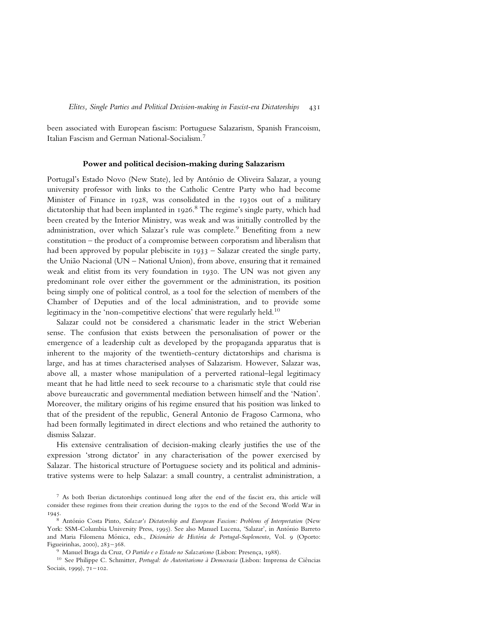been associated with European fascism: Portuguese Salazarism, Spanish Francoism, Italian Fascism and German National-Socialism.<sup>7</sup>

# Power and political decision-making during Salazarism

Portugal's Estado Novo (New State), led by António de Oliveira Salazar, a young university professor with links to the Catholic Centre Party who had become Minister of Finance in 1928, was consolidated in the 1930s out of a military dictatorship that had been implanted in 1926.<sup>8</sup> The regime's single party, which had been created by the Interior Ministry, was weak and was initially controlled by the administration, over which Salazar's rule was complete.<sup>9</sup> Benefiting from a new constitution – the product of a compromise between corporatism and liberalism that had been approved by popular plebiscite in  $1933 -$  Salazar created the single party, the União Nacional (UN - National Union), from above, ensuring that it remained weak and elitist from its very foundation in 1930. The UN was not given any predominant role over either the government or the administration, its position being simply one of political control, as a tool for the selection of members of the Chamber of Deputies and of the local administration, and to provide some legitimacy in the 'non-competitive elections' that were regularly held.<sup>10</sup>

Salazar could not be considered a charismatic leader in the strict Weberian sense. The confusion that exists between the personalisation of power or the emergence of a leadership cult as developed by the propaganda apparatus that is inherent to the majority of the twentieth-century dictatorships and charisma is large, and has at times characterised analyses of Salazarism. However, Salazar was, above all, a master whose manipulation of a perverted rational-legal legitimacy meant that he had little need to seek recourse to a charismatic style that could rise above bureaucratic and governmental mediation between himself and the `Nation'. Moreover, the military origins of his regime ensured that his position was linked to that of the president of the republic, General Antonio de Fragoso Carmona, who had been formally legitimated in direct elections and who retained the authority to dismiss Salazar.

His extensive centralisation of decision-making clearly justifies the use of the expression `strong dictator' in any characterisation of the power exercised by Salazar. The historical structure of Portuguese society and its political and administrative systems were to help Salazar: a small country, a centralist administration, a

<sup>7</sup> As both Iberian dictatorships continued long after the end of the fascist era, this article will consider these regimes from their creation during the 1930s to the end of the Second World War in 1945.

<sup>8</sup> António Costa Pinto, Salazar's Dictatorship and European Fascism: Problems of Interpretation (New York: SSM-Columbia University Press, 1995). See also Manuel Lucena, 'Salazar', in António Barreto and Maria Filomena Mónica, eds., Dicionário de História de Portugal-Suplemento, Vol. 9 (Oporto: Figueirinhas, 2000),  $283 - 368$ .

<sup>&</sup>lt;sup>9</sup> Manuel Braga da Cruz, O Partido e o Estado no Salazarismo (Lisbon: Presença, 1988).

<sup>10</sup> See Philippe C. Schmitter, Portugal: do Autoritarismo à Democracia (Lisbon: Imprensa de Ciências Sociais, 1999), 71-102.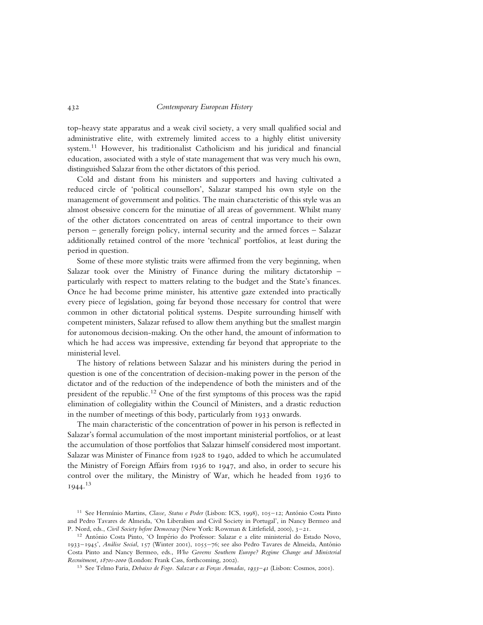top-heavy state apparatus and a weak civil society, a very small qualified social and administrative elite, with extremely limited access to a highly elitist university system.<sup>11</sup> However, his traditionalist Catholicism and his juridical and financial education, associated with a style of state management that was very much his own, distinguished Salazar from the other dictators of this period.

Cold and distant from his ministers and supporters and having cultivated a reduced circle of `political counsellors', Salazar stamped his own style on the management of government and politics. The main characteristic of this style was an almost obsessive concern for the minutiae of all areas of government. Whilst many of the other dictators concentrated on areas of central importance to their own  $person - generally foreign policy, internal security and the armed forces - Salazar$ additionally retained control of the more `technical' portfolios, at least during the period in question.

Some of these more stylistic traits were affirmed from the very beginning, when Salazar took over the Ministry of Finance during the military dictatorship  $$ particularly with respect to matters relating to the budget and the State's finances. Once he had become prime minister, his attentive gaze extended into practically every piece of legislation, going far beyond those necessary for control that were common in other dictatorial political systems. Despite surrounding himself with competent ministers, Salazar refused to allow them anything but the smallest margin for autonomous decision-making. On the other hand, the amount of information to which he had access was impressive, extending far beyond that appropriate to the ministerial level.

The history of relations between Salazar and his ministers during the period in question is one of the concentration of decision-making power in the person of the dictator and of the reduction of the independence of both the ministers and of the president of the republic.<sup>12</sup> One of the first symptoms of this process was the rapid elimination of collegiality within the Council of Ministers, and a drastic reduction in the number of meetings of this body, particularly from 1933 onwards.

The main characteristic of the concentration of power in his person is reflected in Salazar's formal accumulation of the most important ministerial portfolios, or at least the accumulation of those portfolios that Salazar himself considered most important. Salazar was Minister of Finance from 1928 to 1940, added to which he accumulated the Ministry of Foreign Affairs from 1936 to 1947, and also, in order to secure his control over the military, the Ministry of War, which he headed from 1936 to 1944.<sup>13</sup>

<sup>&</sup>lt;sup>11</sup> See Hermínio Martins, Classe, Status e Poder (Lisbon: ICS, 1998), 105-12; António Costa Pinto and Pedro Tavares de Almeida, `On Liberalism and Civil Society in Portugal', in Nancy Bermeo and P. Nord, eds., Civil Society before Democracy (New York: Rowman & Littlefield, 2000), 3-21.

<sup>&</sup>lt;sup>12</sup> António Costa Pinto, 'O Império do Professor: Salazar e a elite ministerial do Estado Novo, 1933-1945', Análise Social, 157 (Winter 2001), 1055-76; see also Pedro Tavares de Almeida, António Costa Pinto and Nancy Bermeo, eds., Who Governs Southern Europe? Regime Change and Ministerial Recruitment, 1870s-2000 (London: Frank Cass, forthcoming, 2002).

<sup>&</sup>lt;sup>13</sup> See Telmo Faria, *Debaixo de Fogo. Salazar e as Forças Armadas, 1933*-41 (Lisbon: Cosmos, 2001).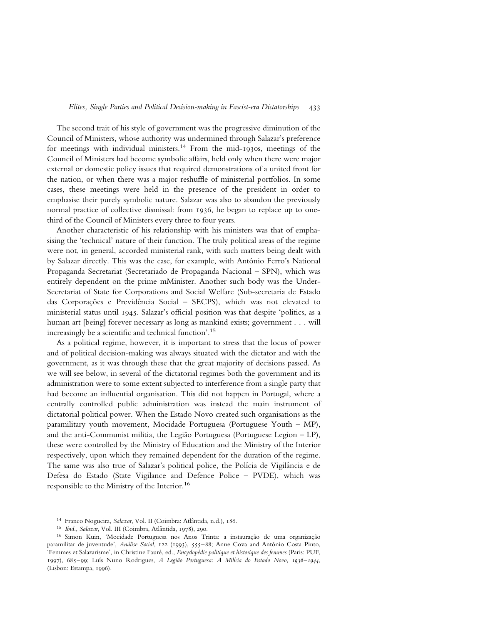The second trait of his style of government was the progressive diminution of the Council of Ministers, whose authority was undermined through Salazar's preference for meetings with individual ministers.<sup>14</sup> From the mid-1930s, meetings of the Council of Ministers had become symbolic affairs, held only when there were major external or domestic policy issues that required demonstrations of a united front for the nation, or when there was a major reshuffle of ministerial portfolios. In some cases, these meetings were held in the presence of the president in order to emphasise their purely symbolic nature. Salazar was also to abandon the previously normal practice of collective dismissal: from 1936, he began to replace up to onethird of the Council of Ministers every three to four years.

Another characteristic of his relationship with his ministers was that of emphasising the `technical' nature of their function. The truly political areas of the regime were not, in general, accorded ministerial rank, with such matters being dealt with by Salazar directly. This was the case, for example, with António Ferro's National Propaganda Secretariat (Secretariado de Propaganda Nacional – SPN), which was entirely dependent on the prime mMinister. Another such body was the Under-Secretariat of State for Corporations and Social Welfare (Sub-secretaria de Estado das Corporações e Previdência Social – SECPS), which was not elevated to ministerial status until 1945. Salazar's official position was that despite 'politics, as a human art [being] forever necessary as long as mankind exists; government . . . will increasingly be a scientific and technical function'.<sup>15</sup>

As a political regime, however, it is important to stress that the locus of power and of political decision-making was always situated with the dictator and with the government, as it was through these that the great majority of decisions passed. As we will see below, in several of the dictatorial regimes both the government and its administration were to some extent subjected to interference from a single party that had become an influential organisation. This did not happen in Portugal, where a centrally controlled public administration was instead the main instrument of dictatorial political power. When the Estado Novo created such organisations as the paramilitary youth movement, Mocidade Portuguesa (Portuguese Youth  $-$  MP), and the anti-Communist militia, the Legião Portuguesa (Portuguese Legion  $-$  LP), these were controlled by the Ministry of Education and the Ministry of the Interior respectively, upon which they remained dependent for the duration of the regime. The same was also true of Salazar's political police, the Polícia de Vigilância e de Defesa do Estado (State Vigilance and Defence Police - PVDE), which was responsible to the Ministry of the Interior.<sup>16</sup>

<sup>&</sup>lt;sup>14</sup> Franco Nogueira, Salazar, Vol. II (Coimbra: Atlântida, n.d.), 186.

<sup>&</sup>lt;sup>15</sup> Ibid., Salazar, Vol. III (Coimbra, Atlântida, 1978), 290.

<sup>&</sup>lt;sup>16</sup> Simon Kuin, 'Mocidade Portuguesa nos Anos Trinta: a instauração de uma organização paramilitar de juventude', Análise Social, 122 (1993), 555-88; Anne Cova and António Costa Pinto, 'Femmes et Salazarisme', in Christine Fauré, ed., *Encyclopédie politique et historique des femmes* (Paris: PUF, 1997), 685-99; Luís Nuno Rodrigues, A Legião Portuguesa: A Milícia do Estado Novo, 1936-1944, (Lisbon: Estampa, 1996).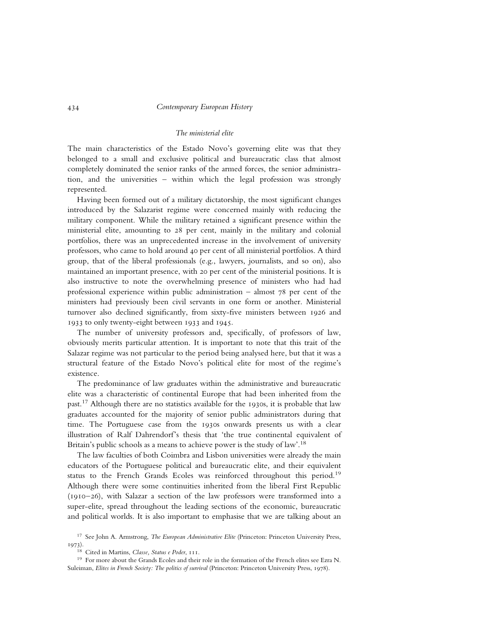# The ministerial elite

The main characteristics of the Estado Novo's governing elite was that they belonged to a small and exclusive political and bureaucratic class that almost completely dominated the senior ranks of the armed forces, the senior administration, and the universities - within which the legal profession was strongly represented.

Having been formed out of a military dictatorship, the most significant changes introduced by the Salazarist regime were concerned mainly with reducing the military component. While the military retained a significant presence within the ministerial elite, amounting to 28 per cent, mainly in the military and colonial portfolios, there was an unprecedented increase in the involvement of university professors, who came to hold around 40 per cent of all ministerial portfolios. A third group, that of the liberal professionals (e.g., lawyers, journalists, and so on), also maintained an important presence, with 20 per cent of the ministerial positions. It is also instructive to note the overwhelming presence of ministers who had had professional experience within public administration  $-$  almost 78 per cent of the ministers had previously been civil servants in one form or another. Ministerial turnover also declined significantly, from sixty-five ministers between 1926 and 1933 to only twenty-eight between 1933 and 1945.

The number of university professors and, specifically, of professors of law, obviously merits particular attention. It is important to note that this trait of the Salazar regime was not particular to the period being analysed here, but that it was a structural feature of the Estado Novo's political elite for most of the regime's existence.

The predominance of law graduates within the administrative and bureaucratic elite was a characteristic of continental Europe that had been inherited from the past.<sup>17</sup> Although there are no statistics available for the 1930s, it is probable that law graduates accounted for the majority of senior public administrators during that time. The Portuguese case from the 1930s onwards presents us with a clear illustration of Ralf Dahrendorf's thesis that `the true continental equivalent of Britain's public schools as a means to achieve power is the study of law'.<sup>18</sup>

The law faculties of both Coimbra and Lisbon universities were already the main educators of the Portuguese political and bureaucratic elite, and their equivalent status to the French Grands Ecoles was reinforced throughout this period.<sup>19</sup> Although there were some continuities inherited from the liberal First Republic  $(1910-26)$ , with Salazar a section of the law professors were transformed into a super-elite, spread throughout the leading sections of the economic, bureaucratic and political worlds. It is also important to emphasise that we are talking about an

<sup>&</sup>lt;sup>17</sup> See John A. Armstrong, *The European Administrative Elite* (Princeton: Princeton University Press, 1973).

<sup>18</sup> Cited in Martins, Classe, Status e Poder, 111.

<sup>&</sup>lt;sup>19</sup> For more about the Grands Ecoles and their role in the formation of the French elites see Ezra N. Suleiman, Elites in French Society: The politics of survival (Princeton: Princeton University Press, 1978).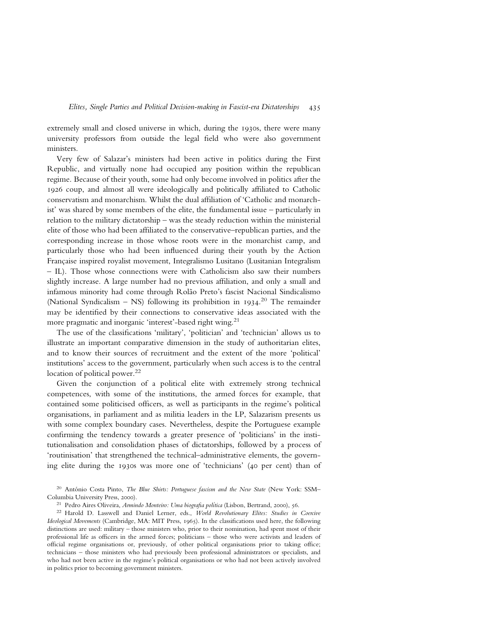extremely small and closed universe in which, during the 1930s, there were many university professors from outside the legal field who were also government ministers.

Very few of Salazar's ministers had been active in politics during the First Republic, and virtually none had occupied any position within the republican regime. Because of their youth, some had only become involved in politics after the 1926 coup, and almost all were ideologically and politically affiliated to Catholic conservatism and monarchism. Whilst the dual affiliation of 'Catholic and monarchist' was shared by some members of the elite, the fundamental issue  $-$  particularly in  $relation$  to the military dictatorship  $-$  was the steady reduction within the ministerial elite of those who had been affiliated to the conservative-republican parties, and the corresponding increase in those whose roots were in the monarchist camp, and particularly those who had been influenced during their youth by the Action Française inspired royalist movement, Integralismo Lusitano (Lusitanian Integralism ± IL). Those whose connections were with Catholicism also saw their numbers slightly increase. A large number had no previous affiliation, and only a small and infamous minority had come through Rolão Preto's fascist Nacional Sindicalismo (National Syndicalism  $-$  NS) following its prohibition in 1934.<sup>20</sup> The remainder may be identified by their connections to conservative ideas associated with the more pragmatic and inorganic 'interest'-based right wing.<sup>21</sup>

The use of the classifications 'military', 'politician' and 'technician' allows us to illustrate an important comparative dimension in the study of authoritarian elites, and to know their sources of recruitment and the extent of the more `political' institutions' access to the government, particularly when such access is to the central location of political power.<sup>22</sup>

Given the conjunction of a political elite with extremely strong technical competences, with some of the institutions, the armed forces for example, that contained some politicised officers, as well as participants in the regime's political organisations, in parliament and as militia leaders in the LP, Salazarism presents us with some complex boundary cases. Nevertheless, despite the Portuguese example confirming the tendency towards a greater presence of 'politicians' in the institutionalisation and consolidation phases of dictatorships, followed by a process of `routinisation' that strengthened the technical±administrative elements, the governing elite during the 1930s was more one of 'technicians' (40 per cent) than of

<sup>20</sup> António Costa Pinto, The Blue Shirts: Portuguese fascism and the New State (New York: SSM-Columbia University Press, 2000).

<sup>21</sup> Pedro Aires Oliveira, Armindo Monteiro: Uma biografia política (Lisbon, Bertrand, 2000), 56.

<sup>22</sup> Harold D. Lasswell and Daniel Lerner, eds., World Revolutionary Elites: Studies in Coercive Ideological Movements (Cambridge, MA: MIT Press, 1965). In the classifications used here, the following distinctions are used: military - those ministers who, prior to their nomination, had spent most of their professional life as officers in the armed forces; politicians - those who were activists and leaders of official regime organisations or, previously, of other political organisations prior to taking office; technicians - those ministers who had previously been professional administrators or specialists, and who had not been active in the regime's political organisations or who had not been actively involved in politics prior to becoming government ministers.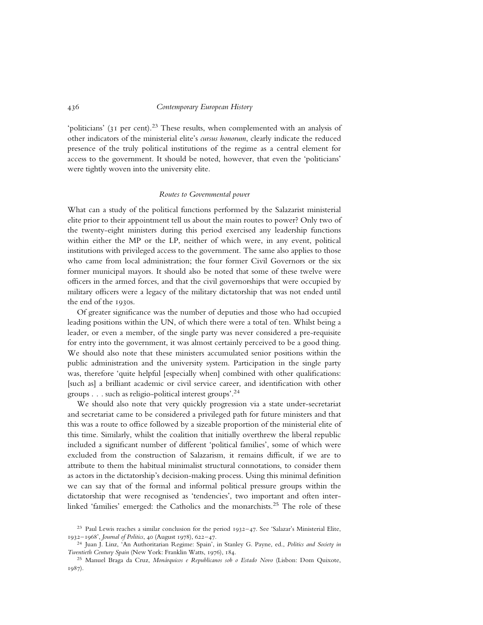`politicians' (31 per cent).<sup>23</sup> These results, when complemented with an analysis of other indicators of the ministerial elite's cursus honorum, clearly indicate the reduced presence of the truly political institutions of the regime as a central element for access to the government. It should be noted, however, that even the `politicians' were tightly woven into the university elite.

# Routes to Governmental power

What can a study of the political functions performed by the Salazarist ministerial elite prior to their appointment tell us about the main routes to power? Only two of the twenty-eight ministers during this period exercised any leadership functions within either the MP or the LP, neither of which were, in any event, political institutions with privileged access to the government. The same also applies to those who came from local administration; the four former Civil Governors or the six former municipal mayors. It should also be noted that some of these twelve were officers in the armed forces, and that the civil governorships that were occupied by military officers were a legacy of the military dictatorship that was not ended until the end of the 1930s.

Of greater significance was the number of deputies and those who had occupied leading positions within the UN, of which there were a total of ten. Whilst being a leader, or even a member, of the single party was never considered a pre-requisite for entry into the government, it was almost certainly perceived to be a good thing. We should also note that these ministers accumulated senior positions within the public administration and the university system. Participation in the single party was, therefore 'quite helpful [especially when] combined with other qualifications: [such as] a brilliant academic or civil service career, and identification with other groups . . . such as religio-political interest groups'.<sup>24</sup>

We should also note that very quickly progression via a state under-secretariat and secretariat came to be considered a privileged path for future ministers and that this was a route to office followed by a sizeable proportion of the ministerial elite of this time. Similarly, whilst the coalition that initially overthrew the liberal republic included a significant number of different 'political families', some of which were excluded from the construction of Salazarism, it remains difficult, if we are to attribute to them the habitual minimalist structural connotations, to consider them as actors in the dictatorship's decision-making process. Using this minimal definition we can say that of the formal and informal political pressure groups within the dictatorship that were recognised as 'tendencies', two important and often interlinked 'families' emerged: the Catholics and the monarchists.<sup>25</sup> The role of these

<sup>&</sup>lt;sup>23</sup> Paul Lewis reaches a similar conclusion for the period 1932-47. See 'Salazar's Ministerial Elite, 1932-1968', Journal of Politics, 40 (August 1978), 622-47.

<sup>&</sup>lt;sup>24</sup> Juan J. Linz, 'An Authoritarian Regime: Spain', in Stanley G. Payne, ed., Politics and Society in Twentieth Century Spain (New York: Franklin Watts, 1976), 184.

<sup>&</sup>lt;sup>25</sup> Manuel Braga da Cruz, Monárquicos e Republicanos sob o Estado Novo (Lisbon: Dom Quixote, 1987).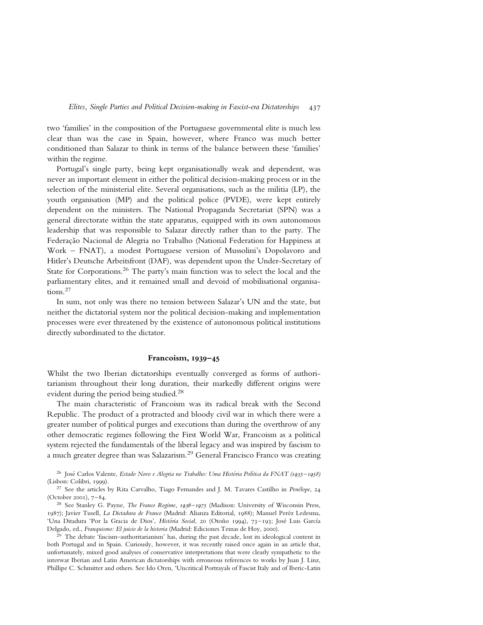two 'families' in the composition of the Portuguese governmental elite is much less clear than was the case in Spain, however, where Franco was much better conditioned than Salazar to think in terms of the balance between these `families' within the regime.

Portugal's single party, being kept organisationally weak and dependent, was never an important element in either the political decision-making process or in the selection of the ministerial elite. Several organisations, such as the militia (LP), the youth organisation (MP) and the political police (PVDE), were kept entirely dependent on the ministers. The National Propaganda Secretariat (SPN) was a general directorate within the state apparatus, equipped with its own autonomous leadership that was responsible to Salazar directly rather than to the party. The Federação Nacional de Alegria no Trabalho (National Federation for Happiness at Work - FNAT), a modest Portuguese version of Mussolini's Dopolavoro and Hitler's Deutsche Arbeitsfront (DAF), was dependent upon the Under-Secretary of State for Corporations.<sup>26</sup> The party's main function was to select the local and the parliamentary elites, and it remained small and devoid of mobilisational organisations.<sup>27</sup>

In sum, not only was there no tension between Salazar's UN and the state, but neither the dictatorial system nor the political decision-making and implementation processes were ever threatened by the existence of autonomous political institutions directly subordinated to the dictator.

### Francoism, 1939-45

Whilst the two Iberian dictatorships eventually converged as forms of authoritarianism throughout their long duration, their markedly different origins were evident during the period being studied.<sup>28</sup>

The main characteristic of Francoism was its radical break with the Second Republic. The product of a protracted and bloody civil war in which there were a greater number of political purges and executions than during the overthrow of any other democratic regimes following the First World War, Francoism as a political system rejected the fundamentals of the liberal legacy and was inspired by fascism to a much greater degree than was Salazarism.<sup>29</sup> General Francisco Franco was creating

<sup>29</sup> The debate 'fascism-authoritarianism' has, during the past decade, lost its ideological content in both Portugal and in Spain. Curiously, however, it was recently raised once again in an article that, unfortunately, mixed good analyses of conservative interpretations that were clearly sympathetic to the interwar Iberian and Latin American dictatorships with erroneous references to works by Juan J. Linz, Phillipe C. Schmitter and others. See Ido Oren, `Uncritical Portrayals of Fascist Italy and of Iberic-Latin

<sup>&</sup>lt;sup>26</sup> José Carlos Valente, Estado Novo e Alegria no Trabalho: Uma História Política da FNAT (1935-1958) (Lisbon: Colibri, 1999).

<sup>&</sup>lt;sup>27</sup> See the articles by Rita Carvalho, Tiago Fernandes and J. M. Tavares Castilho in Penélope, 24 (October 2001), 7-84.

<sup>&</sup>lt;sup>28</sup> See Stanley G. Payne, *The Franco Regime, 1936-1975* (Madison: University of Wisconsin Press, 1987); Javier Tusell, La Dictadura de Franco (Madrid: Alianza Editorial, 1988); Manuel Peréz Ledesma, 'Una Ditadura 'Por la Gracia de Dios', História Social, 20 (Otoño 1994), 73-193; José Luis García Delgado, ed., Franquismo: El juicio de la historia (Madrid: Ediciones Temas de Hoy, 2000).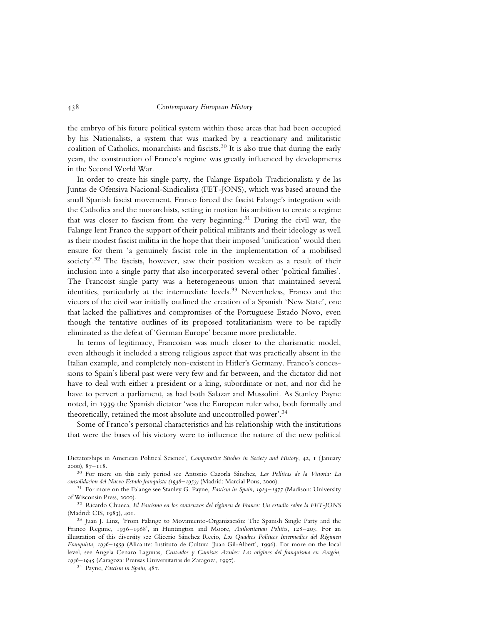the embryo of his future political system within those areas that had been occupied by his Nationalists, a system that was marked by a reactionary and militaristic coalition of Catholics, monarchists and fascists.<sup>30</sup> It is also true that during the early years, the construction of Franco's regime was greatly influenced by developments in the Second World War.

In order to create his single party, the Falange Española Tradicionalista y de las Juntas de Ofensiva Nacional-Sindicalista (FET-JONS), which was based around the small Spanish fascist movement, Franco forced the fascist Falange's integration with the Catholics and the monarchists, setting in motion his ambition to create a regime that was closer to fascism from the very beginning.<sup>31</sup> During the civil war, the Falange lent Franco the support of their political militants and their ideology as well as their modest fascist militia in the hope that their imposed 'unification' would then ensure for them `a genuinely fascist role in the implementation of a mobilised society'.<sup>32</sup> The fascists, however, saw their position weaken as a result of their inclusion into a single party that also incorporated several other `political families'. The Francoist single party was a heterogeneous union that maintained several identities, particularly at the intermediate levels.<sup>33</sup> Nevertheless, Franco and the victors of the civil war initially outlined the creation of a Spanish `New State', one that lacked the palliatives and compromises of the Portuguese Estado Novo, even though the tentative outlines of its proposed totalitarianism were to be rapidly eliminated as the defeat of `German Europe' became more predictable.

In terms of legitimacy, Francoism was much closer to the charismatic model, even although it included a strong religious aspect that was practically absent in the Italian example, and completely non-existent in Hitler's Germany. Franco's concessions to Spain's liberal past were very few and far between, and the dictator did not have to deal with either a president or a king, subordinate or not, and nor did he have to pervert a parliament, as had both Salazar and Mussolini. As Stanley Payne noted, in 1939 the Spanish dictator `was the European ruler who, both formally and theoretically, retained the most absolute and uncontrolled power'.<sup>34</sup>

Some of Franco's personal characteristics and his relationship with the institutions that were the bases of his victory were to influence the nature of the new political

<sup>30</sup> For more on this early period see Antonio Cazorla Sánchez, Las Políticas de la Victoria: La consolidacíon del Nuevo Estado franquista (1938-1953) (Madrid: Marcial Pons, 2000).

Dictatorships in American Political Science', Comparative Studies in Society and History, 42, 1 (January  $2000$ ,  $87 - 118$ .

<sup>&</sup>lt;sup>31</sup> For more on the Falange see Stanley G. Payne, Fascism in Spain, 1923-1977 (Madison: University of Wisconsin Press, 2000).

<sup>32</sup> Ricardo Chueca, El Fascismo en los comienzos del régimen de Franco: Un estudio sobre la FET-JONS (Madrid: CIS, 1983), 401.

<sup>&</sup>lt;sup>33</sup> Juan J. Linz, 'From Falange to Movimiento-Organización: The Spanish Single Party and the Franco Regime, 1936-1968', in Huntington and Moore, Authoritarian Politics, 128-203. For an illustration of this diversity see Glicerio Sánchez Recio, Los Quadros Políticos Intermedios del Régimen Franquista, 1936-1959 (Alicante: Instituto de Cultura 'Juan Gil-Albert', 1996). For more on the local level, see Angela Cenaro Lagunas, Cruzados y Camisas Azules: Los orígines del franquismo en Aragón, 1936±1945 (Zaragoza: Prensas Universitarias de Zaragoza, 1997).

<sup>34</sup> Payne, Fascism in Spain, 487.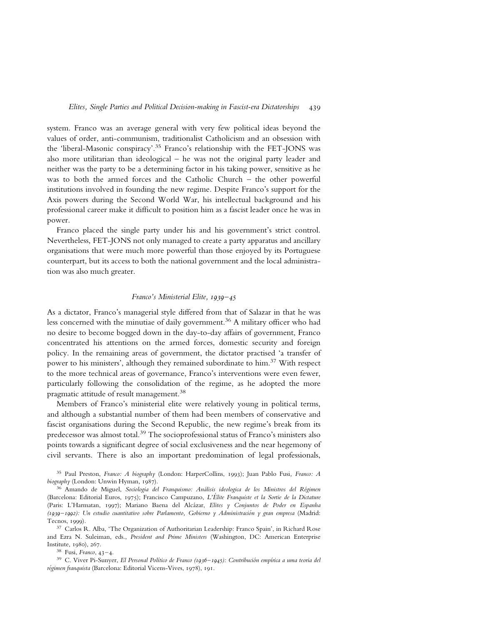system. Franco was an average general with very few political ideas beyond the values of order, anti-communism, traditionalist Catholicism and an obsession with the 'liberal-Masonic conspiracy'.<sup>35</sup> Franco's relationship with the FET-JONS was also more utilitarian than ideological  $-$  he was not the original party leader and neither was the party to be a determining factor in his taking power, sensitive as he was to both the armed forces and the Catholic Church  $-$  the other powerful institutions involved in founding the new regime. Despite Franco's support for the Axis powers during the Second World War, his intellectual background and his professional career make it difficult to position him as a fascist leader once he was in power.

Franco placed the single party under his and his government's strict control. Nevertheless, FET-JONS not only managed to create a party apparatus and ancillary organisations that were much more powerful than those enjoyed by its Portuguese counterpart, but its access to both the national government and the local administration was also much greater.

# Franco's Ministerial Elite,  $1939-45$

As a dictator, Franco's managerial style differed from that of Salazar in that he was less concerned with the minutiae of daily government.<sup>36</sup> A military officer who had no desire to become bogged down in the day-to-day affairs of government, Franco concentrated his attentions on the armed forces, domestic security and foreign policy. In the remaining areas of government, the dictator practised `a transfer of power to his ministers', although they remained subordinate to him.<sup>37</sup> With respect to the more technical areas of governance, Franco's interventions were even fewer, particularly following the consolidation of the regime, as he adopted the more pragmatic attitude of result management.<sup>38</sup>

Members of Franco's ministerial elite were relatively young in political terms, and although a substantial number of them had been members of conservative and fascist organisations during the Second Republic, the new regime's break from its predecessor was almost total.<sup>39</sup> The socioprofessional status of Franco's ministers also points towards a significant degree of social exclusiveness and the near hegemony of civil servants. There is also an important predomination of legal professionals,

 $38$  Fusi, Franco,  $43-4$ .

<sup>&</sup>lt;sup>35</sup> Paul Preston, Franco: A biography (London: HarperCollins, 1993); Juan Pablo Fusi, Franco: A biography (London: Unwin Hyman, 1987).

<sup>&</sup>lt;sup>36</sup> Amando de Miguel, Sociologia del Franquismo: Análisis ideologica de los Ministros del Régimen (Barcelona: Editorial Euros, 1975); Francisco Campuzano, L'Élite Franquiste et la Sortie de la Dictature (Paris: L'Harmatan, 1997); Mariano Baena del Alcázar, Elites y Conjuntos de Poder en Espanha (1939-1992): Un estudio cuantitativo sobre Parlamento, Gobierno y Administración y gran empresa (Madrid: Tecnos, 1999).

<sup>&</sup>lt;sup>37</sup> Carlos R. Alba, 'The Organization of Authoritarian Leadership: Franco Spain', in Richard Rose and Ezra N. Suleiman, eds., President and Prime Ministers (Washington, DC: American Enterprise Institute, 1980), 267.

<sup>39</sup> C. Viver Pi-Sunyer, El Personal Político de Franco (1936-1945): Contribución empírica a uma teoria del régimen franquista (Barcelona: Editorial Vicens-Vives, 1978), 191.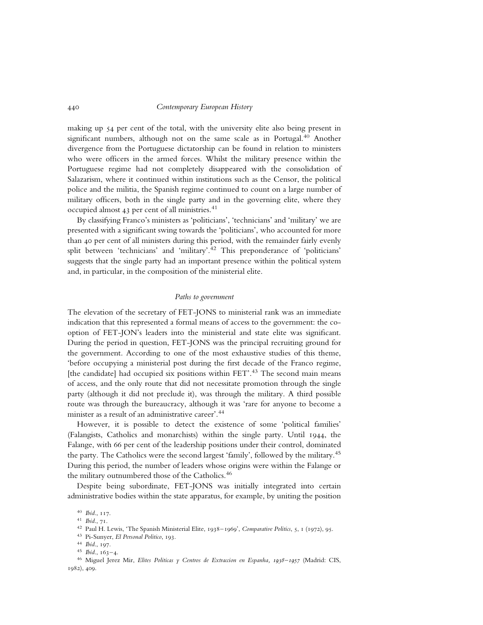making up 54 per cent of the total, with the university elite also being present in significant numbers, although not on the same scale as in Portugal.<sup>40</sup> Another divergence from the Portuguese dictatorship can be found in relation to ministers who were officers in the armed forces. Whilst the military presence within the Portuguese regime had not completely disappeared with the consolidation of Salazarism, where it continued within institutions such as the Censor, the political police and the militia, the Spanish regime continued to count on a large number of military officers, both in the single party and in the governing elite, where they occupied almost 43 per cent of all ministries.<sup>41</sup>

By classifying Franco's ministers as `politicians', `technicians' and `military' we are presented with a significant swing towards the 'politicians', who accounted for more than 40 per cent of all ministers during this period, with the remainder fairly evenly split between 'technicians' and 'military'.<sup>42</sup> This preponderance of 'politicians' suggests that the single party had an important presence within the political system and, in particular, in the composition of the ministerial elite.

# Paths to government

The elevation of the secretary of FET-JONS to ministerial rank was an immediate indication that this represented a formal means of access to the government: the cooption of FET-JON's leaders into the ministerial and state elite was significant. During the period in question, FET-JONS was the principal recruiting ground for the government. According to one of the most exhaustive studies of this theme, 'before occupying a ministerial post during the first decade of the Franco regime, [the candidate] had occupied six positions within FET'.<sup>43</sup> The second main means of access, and the only route that did not necessitate promotion through the single party (although it did not preclude it), was through the military. A third possible route was through the bureaucracy, although it was 'rare for anyone to become a minister as a result of an administrative career'.<sup>44</sup>

However, it is possible to detect the existence of some `political families' (Falangists, Catholics and monarchists) within the single party. Until 1944, the Falange, with 66 per cent of the leadership positions under their control, dominated the party. The Catholics were the second largest 'family', followed by the military.<sup>45</sup> During this period, the number of leaders whose origins were within the Falange or the military outnumbered those of the Catholics.<sup>46</sup>

Despite being subordinate, FET-JONS was initially integrated into certain administrative bodies within the state apparatus, for example, by uniting the position

<sup>40</sup> Ibid., 117.

<sup>41</sup> Ibid., 71.

<sup>42</sup> Paul H. Lewis, 'The Spanish Ministerial Elite, 1938-1969', Comparative Politics, 5, 1 (1972), 95.

<sup>43</sup> Pi-Sunyer, El Personal Politico, 193.

<sup>44</sup> Ibid., 197.

 $45$  Ibid.,  $163-4$ .

<sup>&</sup>lt;sup>46</sup> Miguel Jerez Mir, Elites Politicas y Centros de Extraccion en Espanha, 1938-1957 (Madrid: CIS, 1982), 409.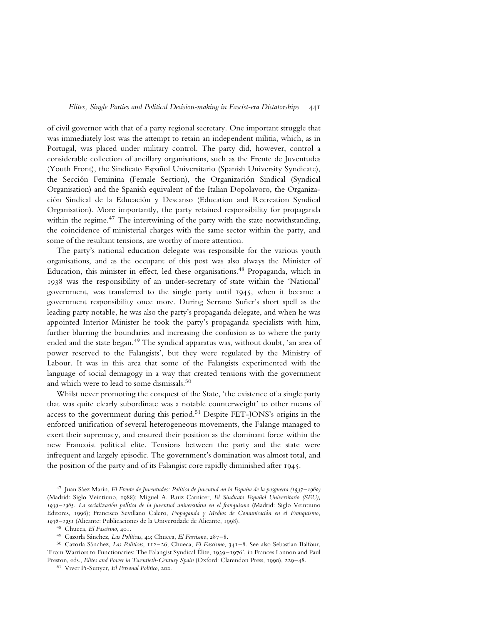of civil governor with that of a party regional secretary. One important struggle that was immediately lost was the attempt to retain an independent militia, which, as in Portugal, was placed under military control. The party did, however, control a considerable collection of ancillary organisations, such as the Frente de Juventudes (Youth Front), the Sindicato Español Universitario (Spanish University Syndicate), the Sección Feminina (Female Section), the Organización Sindical (Syndical Organisation) and the Spanish equivalent of the Italian Dopolavoro, the Organización Sindical de la Educación y Descanso (Education and Recreation Syndical Organisation). More importantly, the party retained responsibility for propaganda within the regime.<sup>47</sup> The intertwining of the party with the state notwithstanding, the coincidence of ministerial charges with the same sector within the party, and some of the resultant tensions, are worthy of more attention.

The party's national education delegate was responsible for the various youth organisations, and as the occupant of this post was also always the Minister of Education, this minister in effect, led these organisations.<sup>48</sup> Propaganda, which in 1938 was the responsibility of an under-secretary of state within the `National' government, was transferred to the single party until 1945, when it became a government responsibility once more. During Serrano Suñer's short spell as the leading party notable, he was also the party's propaganda delegate, and when he was appointed Interior Minister he took the party's propaganda specialists with him, further blurring the boundaries and increasing the confusion as to where the party ended and the state began.<sup>49</sup> The syndical apparatus was, without doubt, 'an area of power reserved to the Falangists', but they were regulated by the Ministry of Labour. It was in this area that some of the Falangists experimented with the language of social demagogy in a way that created tensions with the government and which were to lead to some dismissals.<sup>50</sup>

Whilst never promoting the conquest of the State, 'the existence of a single party that was quite clearly subordinate was a notable counterweight' to other means of access to the government during this period.<sup>51</sup> Despite FET-JONS's origins in the enforced unification of several heterogeneous movements, the Falange managed to exert their supremacy, and ensured their position as the dominant force within the new Francoist political elite. Tensions between the party and the state were infrequent and largely episodic. The government's domination was almost total, and the position of the party and of its Falangist core rapidly diminished after 1945.

<sup>48</sup> Chueca, El Fascismo, 401.

<sup>&</sup>lt;sup>47</sup> Juan Sáez Marin, El Frente de Juventudes: Política de juventud an la España de la posguerra (1937-1960) (Madrid: Siglo Veintiuno, 1988); Miguel A. Ruiz Carnicer, El Sindicato Español Universitario (SEU), 1939-1965. La socialización política de la juventud universitária en el franquismo (Madrid: Siglo Veintiuno Editores, 1996); Francisco Sevillano Calero, Propaganda y Medios de Comunicación en el Franquismo, 1936±1951 (Alicante: Publicaciones de la Universidade de Alicante, 1998).

<sup>49</sup> Cazorla Sánchez, Las Políticas, 40; Chueca, El Fascismo, 287-8.

<sup>50</sup> Cazorla Sánchez, Las Políticas, 112-26; Chueca, El Fascismo, 341-8. See also Sebastian Balfour, `From Warriors to Functionaries: The Falangist Syndical EÂlite, 1939±1976', in Frances Lannon and Paul Preston, eds., Elites and Power in Twentieth-Century Spain (Oxford: Clarendon Press, 1990), 229-48.

<sup>51</sup> Viver Pi-Sunyer, El Personal Politico, 202.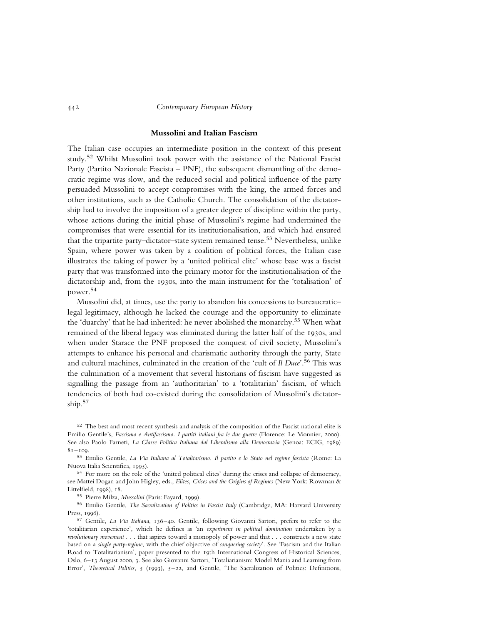# Mussolini and Italian Fascism

The Italian case occupies an intermediate position in the context of this present study.<sup>52</sup> Whilst Mussolini took power with the assistance of the National Fascist Party (Partito Nazionale Fascista  $-$  PNF), the subsequent dismantling of the democratic regime was slow, and the reduced social and political influence of the party persuaded Mussolini to accept compromises with the king, the armed forces and other institutions, such as the Catholic Church. The consolidation of the dictatorship had to involve the imposition of a greater degree of discipline within the party, whose actions during the initial phase of Mussolini's regime had undermined the compromises that were essential for its institutionalisation, and which had ensured that the tripartite party-dictator-state system remained tense.<sup>53</sup> Nevertheless, unlike Spain, where power was taken by a coalition of political forces, the Italian case illustrates the taking of power by a `united political elite' whose base was a fascist party that was transformed into the primary motor for the institutionalisation of the dictatorship and, from the 1930s, into the main instrument for the `totalisation' of power.<sup>54</sup>

Mussolini did, at times, use the party to abandon his concessions to bureaucraticlegal legitimacy, although he lacked the courage and the opportunity to eliminate the 'duarchy' that he had inherited: he never abolished the monarchy.<sup>55</sup> When what remained of the liberal legacy was eliminated during the latter half of the 1930s, and when under Starace the PNF proposed the conquest of civil society, Mussolini's attempts to enhance his personal and charismatic authority through the party, State and cultural machines, culminated in the creation of the 'cult of  $I\!I$  Duce'.<sup>56</sup> This was the culmination of a movement that several historians of fascism have suggested as signalling the passage from an 'authoritarian' to a 'totalitarian' fascism, of which tendencies of both had co-existed during the consolidation of Mussolini's dictatorship.<sup>57</sup>

<sup>52</sup> The best and most recent synthesis and analysis of the composition of the Fascist national elite is Emilio Gentile's, Fascismo e Antifascismo. I partiti italiani fra le due guerre (Florence: Le Monnier, 2000). See also Paolo Farneti, La Classe Politica Italiana dal Liberalismo alla Democrazia (Genoa: ECIG, 1989)  $81 - 109.$ 

<sup>53</sup> Emilio Gentile, La Via Italiana al Totalitarismo. Il partito e lo Stato nel regime fascista (Rome: La Nuova Italia Scientifica, 1995).

<sup>54</sup> For more on the role of the 'united political elites' during the crises and collapse of democracy, see Mattei Dogan and John Higley, eds., Elites, Crises and the Origins of Regimes (New York: Rowman & Littelfield, 1998), 18.

<sup>55</sup> Pierre Milza, Mussolini (Paris: Fayard, 1999).

56 Emilio Gentile, The Sacralization of Politics in Fascist Italy (Cambridge, MA: Harvard University Press, 1996).

57 Gentile, La Via Italiana, 136-40. Gentile, following Giovanni Sartori, prefers to refer to the 'totalitarian experience', which he defines as 'an experiment in political domination undertaken by a revolutionary movement . . . that aspires toward a monopoly of power and that . . . constructs a new state based on a single party-regime, with the chief objective of conquering society'. See 'Fascism and the Italian Road to Totalitarianism', paper presented to the 19th International Congress of Historical Sciences, Oslo, 6-13 August 2000, 3. See also Giovanni Sartori, 'Totaliarianism: Model Mania and Learning from Error', Theoretical Politics,  $5$  (1993),  $5-22$ , and Gentile, 'The Sacralization of Politics: Definitions,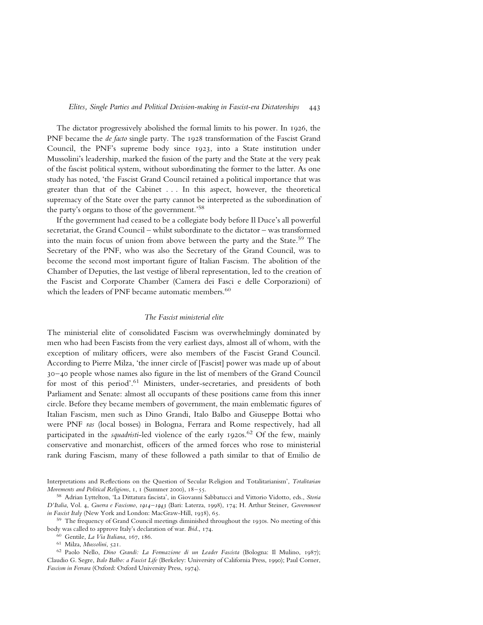The dictator progressively abolished the formal limits to his power. In 1926, the PNF became the *de facto* single party. The 1928 transformation of the Fascist Grand Council, the PNF's supreme body since 1923, into a State institution under Mussolini's leadership, marked the fusion of the party and the State at the very peak of the fascist political system, without subordinating the former to the latter. As one study has noted, `the Fascist Grand Council retained a political importance that was greater than that of the Cabinet . . . In this aspect, however, the theoretical supremacy of the State over the party cannot be interpreted as the subordination of the party's organs to those of the government.'<sup>58</sup>

If the government had ceased to be a collegiate body before Il Duce's all powerful secretariat, the Grand Council - whilst subordinate to the dictator - was transformed into the main focus of union from above between the party and the State.<sup>59</sup> The Secretary of the PNF, who was also the Secretary of the Grand Council, was to become the second most important figure of Italian Fascism. The abolition of the Chamber of Deputies, the last vestige of liberal representation, led to the creation of the Fascist and Corporate Chamber (Camera dei Fasci e delle Corporazioni) of which the leaders of PNF became automatic members.<sup>60</sup>

# The Fascist ministerial elite

The ministerial elite of consolidated Fascism was overwhelmingly dominated by men who had been Fascists from the very earliest days, almost all of whom, with the exception of military officers, were also members of the Fascist Grand Council. According to Pierre Milza, `the inner circle of [Fascist] power was made up of about 30-40 people whose names also figure in the list of members of the Grand Council for most of this period'.<sup>61</sup> Ministers, under-secretaries, and presidents of both Parliament and Senate: almost all occupants of these positions came from this inner circle. Before they became members of government, the main emblematic figures of Italian Fascism, men such as Dino Grandi, Italo Balbo and Giuseppe Bottai who were PNF ras (local bosses) in Bologna, Ferrara and Rome respectively, had all participated in the *squadristi*-led violence of the early  $1920s$ .<sup>62</sup> Of the few, mainly conservative and monarchist, officers of the armed forces who rose to ministerial rank during Fascism, many of these followed a path similar to that of Emilio de

Interpretations and Reflections on the Question of Secular Religion and Totalitarianism', Totalitarian Movements and Political Religions,  $I$ ,  $I$  (Summer 2000),  $I8-55$ .

<sup>&</sup>lt;sup>58</sup> Adrian Lyttelton, 'La Dittatura fascista', in Giovanni Sabbatucci and Vittorio Vidotto, eds., Storia D'Italia, Vol. 4, Guerra e Fascismo, 1914-1943 (Bari: Laterza, 1998), 174; H. Arthur Steiner, Government in Fascist Italy (New York and London: MacGraw-Hill, 1938), 65.

<sup>&</sup>lt;sup>59</sup> The frequency of Grand Council meetings diminished throughout the 1930s. No meeting of this body was called to approve Italy's declaration of war. Ibid., 174.

<sup>60</sup> Gentile, La Via Italiana, 167, 186.

<sup>61</sup> Milza, Mussolini, 521.

<sup>62</sup> Paolo Nello, Dino Grandi: La Formazione di un Leader Fascista (Bologna: Il Mulino, 1987); Claudio G. Segre, Italo Balbo: a Fascist Life (Berkeley: University of California Press, 1990); Paul Corner, Fascism in Ferrara (Oxford: Oxford University Press, 1974).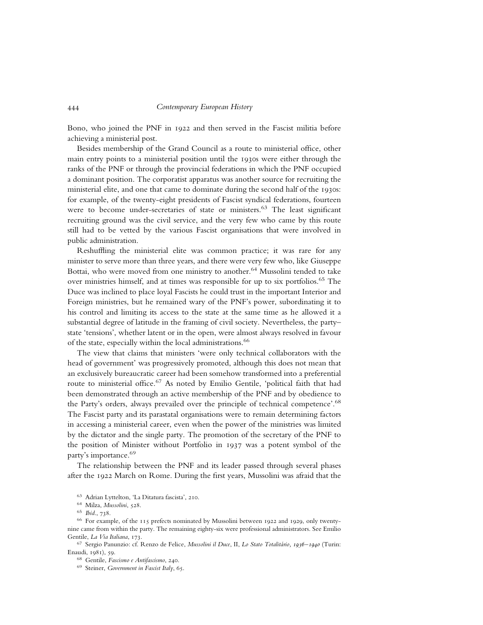Bono, who joined the PNF in 1922 and then served in the Fascist militia before achieving a ministerial post.

Besides membership of the Grand Council as a route to ministerial office, other main entry points to a ministerial position until the 1930s were either through the ranks of the PNF or through the provincial federations in which the PNF occupied a dominant position. The corporatist apparatus was another source for recruiting the ministerial elite, and one that came to dominate during the second half of the 1930s: for example, of the twenty-eight presidents of Fascist syndical federations, fourteen were to become under-secretaries of state or ministers. $63$  The least significant recruiting ground was the civil service, and the very few who came by this route still had to be vetted by the various Fascist organisations that were involved in public administration.

Reshuffling the ministerial elite was common practice; it was rare for any minister to serve more than three years, and there were very few who, like Giuseppe Bottai, who were moved from one ministry to another.<sup>64</sup> Mussolini tended to take over ministries himself, and at times was responsible for up to six portfolios.<sup>65</sup> The Duce was inclined to place loyal Fascists he could trust in the important Interior and Foreign ministries, but he remained wary of the PNF's power, subordinating it to his control and limiting its access to the state at the same time as he allowed it a substantial degree of latitude in the framing of civil society. Nevertheless, the partystate `tensions', whether latent or in the open, were almost always resolved in favour of the state, especially within the local administrations.<sup>66</sup>

The view that claims that ministers `were only technical collaborators with the head of government' was progressively promoted, although this does not mean that an exclusively bureaucratic career had been somehow transformed into a preferential route to ministerial office.<sup>67</sup> As noted by Emilio Gentile, 'political faith that had been demonstrated through an active membership of the PNF and by obedience to the Party's orders, always prevailed over the principle of technical competence'.<sup>68</sup> The Fascist party and its parastatal organisations were to remain determining factors in accessing a ministerial career, even when the power of the ministries was limited by the dictator and the single party. The promotion of the secretary of the PNF to the position of Minister without Portfolio in 1937 was a potent symbol of the party's importance.<sup>69</sup>

The relationship between the PNF and its leader passed through several phases after the 1922 March on Rome. During the first years, Mussolini was afraid that the

<sup>63</sup> Adrian Lyttelton, `La Ditatura fascista', 210.

<sup>64</sup> Milza, Mussolini, 528.

<sup>65</sup> Ibid., 738.

<sup>66</sup> For example, of the 115 prefects nominated by Mussolini between 1922 and 1929, only twentynine came from within the party. The remaining eighty-six were professional administrators. See Emilio Gentile, La Via Italiana, 173.

<sup>67</sup> Sergio Panunzio: cf. Renzo de Felice, Mussolini il Duce, II, Lo Stato Totalitário, 1936-1940 (Turin: Enaudi, 1981), 59.

<sup>68</sup> Gentile, Fascismo e Antifascismo, 240.

<sup>69</sup> Steiner, Government in Fascist Italy, 65.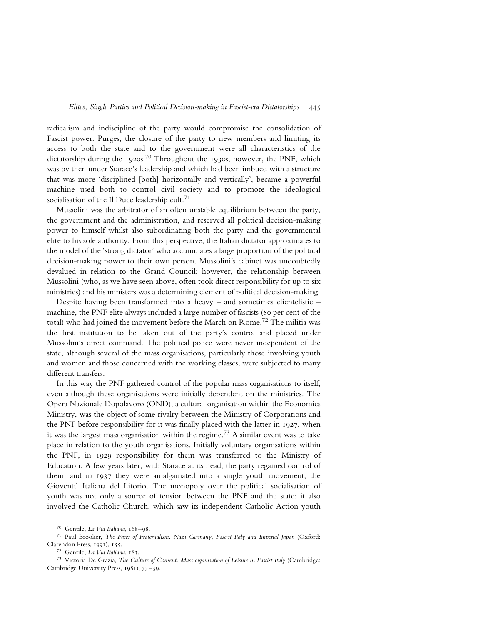radicalism and indiscipline of the party would compromise the consolidation of Fascist power. Purges, the closure of the party to new members and limiting its access to both the state and to the government were all characteristics of the dictatorship during the 1920s.<sup>70</sup> Throughout the 1930s, however, the PNF, which was by then under Starace's leadership and which had been imbued with a structure that was more `disciplined [both] horizontally and vertically', became a powerful machine used both to control civil society and to promote the ideological socialisation of the Il Duce leadership cult.<sup>71</sup>

Mussolini was the arbitrator of an often unstable equilibrium between the party, the government and the administration, and reserved all political decision-making power to himself whilst also subordinating both the party and the governmental elite to his sole authority. From this perspective, the Italian dictator approximates to the model of the `strong dictator' who accumulates a large proportion of the political decision-making power to their own person. Mussolini's cabinet was undoubtedly devalued in relation to the Grand Council; however, the relationship between Mussolini (who, as we have seen above, often took direct responsibility for up to six ministries) and his ministers was a determining element of political decision-making.

Despite having been transformed into a heavy  $-$  and sometimes clientelistic  $$ machine, the PNF elite always included a large number of fascists (80 per cent of the total) who had joined the movement before the March on Rome.<sup>72</sup> The militia was the first institution to be taken out of the party's control and placed under Mussolini's direct command. The political police were never independent of the state, although several of the mass organisations, particularly those involving youth and women and those concerned with the working classes, were subjected to many different transfers.

In this way the PNF gathered control of the popular mass organisations to itself, even although these organisations were initially dependent on the ministries. The Opera Nazionale Dopolavoro (OND), a cultural organisation within the Economics Ministry, was the object of some rivalry between the Ministry of Corporations and the PNF before responsibility for it was finally placed with the latter in 1927, when it was the largest mass organisation within the regime.<sup>73</sup> A similar event was to take place in relation to the youth organisations. Initially voluntary organisations within the PNF, in 1929 responsibility for them was transferred to the Ministry of Education. A few years later, with Starace at its head, the party regained control of them, and in 1937 they were amalgamated into a single youth movement, the Gioventù Italiana del Litorio. The monopoly over the political socialisation of youth was not only a source of tension between the PNF and the state: it also involved the Catholic Church, which saw its independent Catholic Action youth

<sup>70</sup> Gentile, La Via Italiana, 168-98.

<sup>71</sup> Paul Brooker, The Faces of Fraternalism. Nazi Germany, Fascist Italy and Imperial Japan (Oxford: Clarendon Press, 1991), 155.

<sup>72</sup> Gentile, La Via Italiana, 183.

<sup>73</sup> Victoria De Grazia, The Culture of Consent. Mass organisation of Leisure in Fascist Italy (Cambridge: Cambridge University Press,  $1981$ ,  $33-59$ .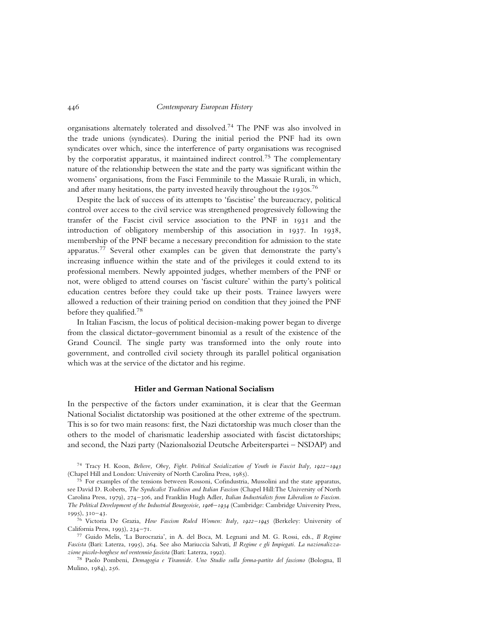organisations alternately tolerated and dissolved.<sup>74</sup> The PNF was also involved in the trade unions (syndicates). During the initial period the PNF had its own syndicates over which, since the interference of party organisations was recognised by the corporatist apparatus, it maintained indirect control.<sup>75</sup> The complementary nature of the relationship between the state and the party was significant within the womens' organisations, from the Fasci Femminile to the Massaie Rurali, in which, and after many hesitations, the party invested heavily throughout the 1930s.<sup>76</sup>

Despite the lack of success of its attempts to `fascistise' the bureaucracy, political control over access to the civil service was strengthened progressively following the transfer of the Fascist civil service association to the PNF in 1931 and the introduction of obligatory membership of this association in 1937. In 1938, membership of the PNF became a necessary precondition for admission to the state apparatus.<sup>77</sup> Several other examples can be given that demonstrate the party's increasing influence within the state and of the privileges it could extend to its professional members. Newly appointed judges, whether members of the PNF or not, were obliged to attend courses on `fascist culture' within the party's political education centres before they could take up their posts. Trainee lawyers were allowed a reduction of their training period on condition that they joined the PNF before they qualified.<sup>78</sup>

In Italian Fascism, the locus of political decision-making power began to diverge from the classical dictator-government binomial as a result of the existence of the Grand Council. The single party was transformed into the only route into government, and controlled civil society through its parallel political organisation which was at the service of the dictator and his regime.

# Hitler and German National Socialism

In the perspective of the factors under examination, it is clear that the Geerman National Socialist dictatorship was positioned at the other extreme of the spectrum. This is so for two main reasons: first, the Nazi dictatorship was much closer than the others to the model of charismatic leadership associated with fascist dictatorships; and second, the Nazi party (Nazionalsozial Deutsche Arbeiterspartei – NSDAP) and

76 Victoria De Grazia, How Fascism Ruled Women: Italy, 1922-1945 (Berkeley: University of California Press, 1993), 234-71.

<sup>77</sup> Guido Melis, `La Burocrazia', in A. del Boca, M. Legnani and M. G. Rossi, eds., Il Regime Fascista (Bari: Laterza, 1995), 264. See also Mariuccia Salvati, Il Regime e gli Impiegati. La nazionalizzazione piccolo-borghese nel ventennio fascista (Bari: Laterza, 1992).

<sup>78</sup> Paolo Pombeni, Demagogia e Tirannide. Uno Studio sulla forma-partito del fascismo (Bologna, Il Mulino, 1984), 256.

<sup>74</sup> Tracy H. Koon, Believe, Obey, Fight. Political Socialization of Youth in Fascist Italy, 1922-1943 (Chapel Hill and London: University of North Carolina Press, 1985).

 $75$  For examples of the tensions between Rossoni, Cofindustria, Mussolini and the state apparatus, see David D. Roberts, The Syndicalist Tradition and Italian Fascism (Chapel Hill:The University of North Carolina Press, 1979), 274-306, and Franklin Hugh Adler, Italian Industrialists from Liberalism to Fascism. The Political Development of the Industrial Bourgeoisie, 1906-1934 (Cambridge: Cambridge University Press, 1995), 310±43.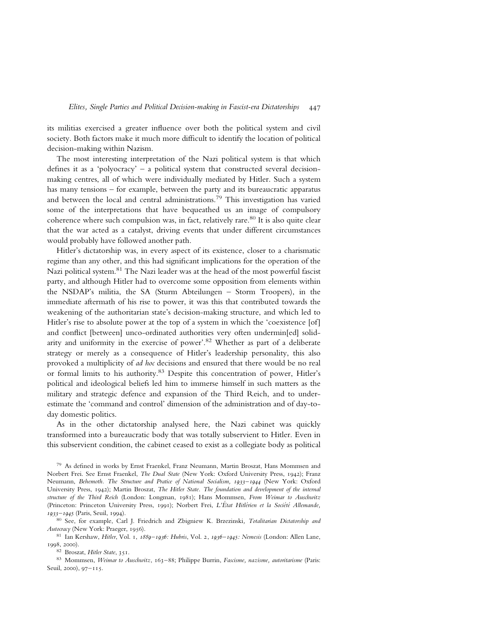its militias exercised a greater influence over both the political system and civil society. Both factors make it much more difficult to identify the location of political decision-making within Nazism.

The most interesting interpretation of the Nazi political system is that which defines it as a 'polyocracy'  $-$  a political system that constructed several decisionmaking centres, all of which were individually mediated by Hitler. Such a system has many tensions  $-$  for example, between the party and its bureaucratic apparatus and between the local and central administrations.<sup>79</sup> This investigation has varied some of the interpretations that have bequeathed us an image of compulsory coherence where such compulsion was, in fact, relatively rare.<sup>80</sup> It is also quite clear that the war acted as a catalyst, driving events that under different circumstances would probably have followed another path.

Hitler's dictatorship was, in every aspect of its existence, closer to a charismatic regime than any other, and this had significant implications for the operation of the Nazi political system.<sup>81</sup> The Nazi leader was at the head of the most powerful fascist party, and although Hitler had to overcome some opposition from elements within the NSDAP's militia, the SA (Sturm Abteilungen - Storm Troopers), in the immediate aftermath of his rise to power, it was this that contributed towards the weakening of the authoritarian state's decision-making structure, and which led to Hitler's rise to absolute power at the top of a system in which the 'coexistence [of] and conflict [between] unco-ordinated authorities very often undermin[ed] solidarity and uniformity in the exercise of power'.<sup>82</sup> Whether as part of a deliberate strategy or merely as a consequence of Hitler's leadership personality, this also provoked a multiplicity of ad hoc decisions and ensured that there would be no real or formal limits to his authority.<sup>83</sup> Despite this concentration of power, Hitler's political and ideological beliefs led him to immerse himself in such matters as the military and strategic defence and expansion of the Third Reich, and to underestimate the `command and control' dimension of the administration and of day-today domestic politics.

As in the other dictatorship analysed here, the Nazi cabinet was quickly transformed into a bureaucratic body that was totally subservient to Hitler. Even in this subservient condition, the cabinet ceased to exist as a collegiate body as political

80 See, for example, Carl J. Friedrich and Zbigniew K. Brzezinski, Totalitarian Dictatorship and Autocracy (New York: Praeger, 1956).

81 Ian Kershaw, Hitler, Vol. 1, 1889-1936: Hubris, Vol. 2, 1936-1945: Nemesis (London: Allen Lane, 1998, 2000).

82 Broszat, Hitler State, 351.

83 Mommsen, Weimar to Auschwitz, 163-88; Philippe Burrin, Fascisme, nazisme, autoritarisme (Paris: Seuil, 2000), 97-115.

<sup>79</sup> As defined in works by Ernst Fraenkel, Franz Neumann, Martin Broszat, Hans Mommsen and Norbert Frei. See Ernst Fraenkel, The Dual State (New York: Oxford University Press, 1942); Franz Neumann, Behemoth. The Structure and Pratice of National Socialism, 1933-1944 (New York: Oxford University Press, 1942); Martin Broszat, The Hitler State. The foundation and development of the internal structure of the Third Reich (London: Longman, 1981); Hans Mommsen, From Weimar to Auschwitz (Princeton: Princeton University Press, 1991); Norbert Frei, L'État Hitlérien et la Société Allemande, 1933±1945 (Paris, Seuil, 1994).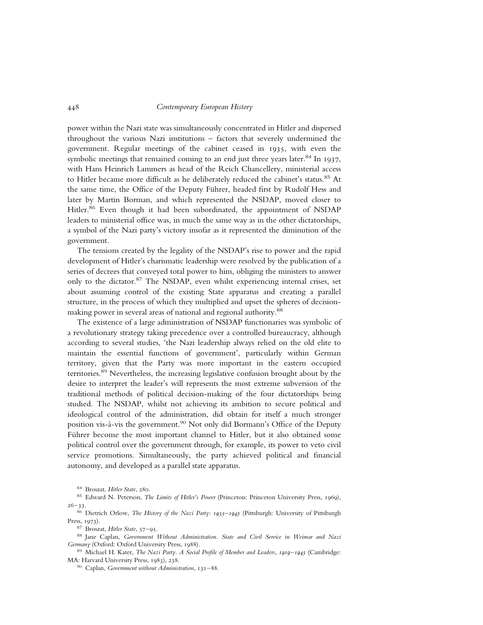power within the Nazi state was simultaneously concentrated in Hitler and dispersed throughout the various Nazi institutions  $-$  factors that severely undermined the government. Regular meetings of the cabinet ceased in 1935, with even the symbolic meetings that remained coming to an end just three years later.<sup>84</sup> In 1937, with Hans Heinrich Lammers as head of the Reich Chancellery, ministerial access to Hitler became more difficult as he deliberately reduced the cabinet's status.<sup>85</sup> At the same time, the Office of the Deputy Führer, headed first by Rudolf Hess and later by Martin Borman, and which represented the NSDAP, moved closer to Hitler.<sup>86</sup> Even though it had been subordinated, the appointment of NSDAP leaders to ministerial office was, in much the same way as in the other dictatorships, a symbol of the Nazi party's victory insofar as it represented the diminution of the government.

The tensions created by the legality of the NSDAP's rise to power and the rapid development of Hitler's charismatic leadership were resolved by the publication of a series of decrees that conveyed total power to him, obliging the ministers to answer only to the dictator.<sup>87</sup> The NSDAP, even whilst experiencing internal crises, set about assuming control of the existing State apparatus and creating a parallel structure, in the process of which they multiplied and upset the spheres of decisionmaking power in several areas of national and regional authority.<sup>88</sup>

The existence of a large administration of NSDAP functionaries was symbolic of a revolutionary strategy taking precedence over a controlled bureaucracy, although according to several studies, 'the Nazi leadership always relied on the old elite to maintain the essential functions of government', particularly within German territory, given that the Party was more important in the eastern occupied territories.<sup>89</sup> Nevertheless, the increasing legislative confusion brought about by the desire to interpret the leader's will represents the most extreme subversion of the traditional methods of political decision-making of the four dictatorships being studied. The NSDAP, whilst not achieving its ambition to secure political and ideological control of the administration, did obtain for itself a much stronger position vis-à-vis the government.<sup>90</sup> Not only did Bormann's Office of the Deputy Führer become the most important channel to Hitler, but it also obtained some political control over the government through, for example, its power to veto civil service promotions. Simultaneously, the party achieved political and financial autonomy, and developed as a parallel state apparatus.

<sup>84</sup> Broszat, Hitler State, 280.

<sup>85</sup> Edward N. Peterson, The Limits of Hitler's Power (Princeton: Princeton University Press, 1969),  $26 - 33$ .

<sup>86</sup> Dietrich Orlow, The History of the Nazi Party: 1933-1945 (Pittsburgh: University of Pittsburgh Press, 1973).

<sup>87</sup> Broszat, Hitler State, 57-95.

<sup>88</sup> Jane Caplan, Government Without Administration. State and Civil Service in Weimar and Nazi Germany (Oxford: Oxford University Press, 1988).

<sup>89</sup> Michael H. Kater, The Nazi Party. A Social Profile of Member and Leaders, 1919-1945 (Cambridge: MA: Harvard University Press, 1983), 238.

<sup>&</sup>lt;sup>90</sup> Caplan, Government without Administration,  $131-88$ .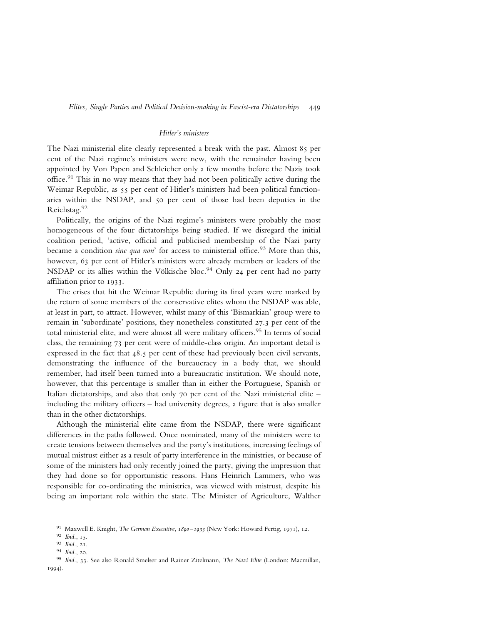## Hitler's ministers

The Nazi ministerial elite clearly represented a break with the past. Almost 85 per cent of the Nazi regime's ministers were new, with the remainder having been appointed by Von Papen and Schleicher only a few months before the Nazis took office.<sup>91</sup> This in no way means that they had not been politically active during the Weimar Republic, as 55 per cent of Hitler's ministers had been political functionaries within the NSDAP, and 50 per cent of those had been deputies in the Reichstag.<sup>92</sup>

Politically, the origins of the Nazi regime's ministers were probably the most homogeneous of the four dictatorships being studied. If we disregard the initial coalition period, 'active, official and publicised membership of the Nazi party became a condition sine qua non' for access to ministerial office.<sup>93</sup> More than this, however, 63 per cent of Hitler's ministers were already members or leaders of the NSDAP or its allies within the Völkische bloc.<sup>94</sup> Only 24 per cent had no party affiliation prior to 1933.

The crises that hit the Weimar Republic during its final years were marked by the return of some members of the conservative elites whom the NSDAP was able, at least in part, to attract. However, whilst many of this `Bismarkian' group were to remain in `subordinate' positions, they nonetheless constituted 27.3 per cent of the total ministerial elite, and were almost all were military officers.<sup>95</sup> In terms of social class, the remaining 73 per cent were of middle-class origin. An important detail is expressed in the fact that 48.5 per cent of these had previously been civil servants, demonstrating the influence of the bureaucracy in a body that, we should remember, had itself been turned into a bureaucratic institution. We should note, however, that this percentage is smaller than in either the Portuguese, Spanish or Italian dictatorships, and also that only 70 per cent of the Nazi ministerial elite  $$ including the military officers  $-$  had university degrees, a figure that is also smaller than in the other dictatorships.

Although the ministerial elite came from the NSDAP, there were significant differences in the paths followed. Once nominated, many of the ministers were to create tensions between themselves and the party's institutions, increasing feelings of mutual mistrust either as a result of party interference in the ministries, or because of some of the ministers had only recently joined the party, giving the impression that they had done so for opportunistic reasons. Hans Heinrich Lammers, who was responsible for co-ordinating the ministries, was viewed with mistrust, despite his being an important role within the state. The Minister of Agriculture, Walther

<sup>91</sup> Maxwell E. Knight, The German Executive, 1890-1933 (New York: Howard Fertig, 1971), 12.

<sup>92</sup> Ibid., 15.

<sup>93</sup> Ibid., 21.

<sup>94</sup> Ibid., 20.

<sup>95</sup> Ibid., 33. See also Ronald Smelser and Rainer Zitelmann, The Nazi Elite (London: Macmillan, 1994).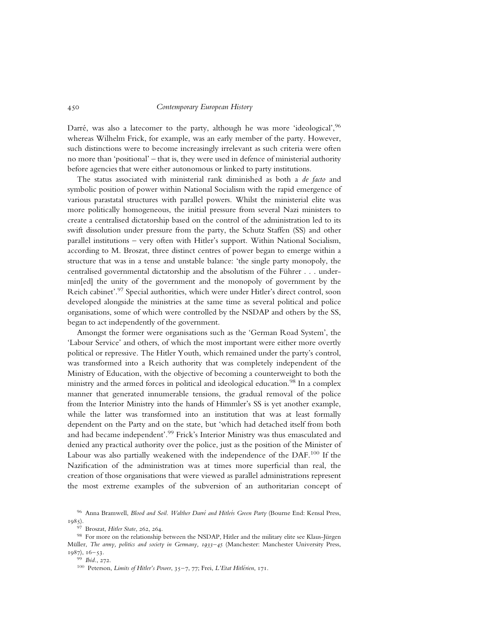Darré, was also a latecomer to the party, although he was more 'ideological', <sup>96</sup> whereas Wilhelm Frick, for example, was an early member of the party. However, such distinctions were to become increasingly irrelevant as such criteria were often no more than 'positional' – that is, they were used in defence of ministerial authority before agencies that were either autonomous or linked to party institutions.

The status associated with ministerial rank diminished as both a de facto and symbolic position of power within National Socialism with the rapid emergence of various parastatal structures with parallel powers. Whilst the ministerial elite was more politically homogeneous, the initial pressure from several Nazi ministers to create a centralised dictatorship based on the control of the administration led to its swift dissolution under pressure from the party, the Schutz Staffen (SS) and other parallel institutions - very often with Hitler's support. Within National Socialism, according to M. Broszat, three distinct centres of power began to emerge within a structure that was in a tense and unstable balance: `the single party monopoly, the centralised governmental dictatorship and the absolutism of the Führer . . . undermin[ed] the unity of the government and the monopoly of government by the Reich cabinet'.<sup>97</sup> Special authorities, which were under Hitler's direct control, soon developed alongside the ministries at the same time as several political and police organisations, some of which were controlled by the NSDAP and others by the SS, began to act independently of the government.

Amongst the former were organisations such as the `German Road System', the `Labour Service' and others, of which the most important were either more overtly political or repressive. The Hitler Youth, which remained under the party's control, was transformed into a Reich authority that was completely independent of the Ministry of Education, with the objective of becoming a counterweight to both the ministry and the armed forces in political and ideological education.<sup>98</sup> In a complex manner that generated innumerable tensions, the gradual removal of the police from the Interior Ministry into the hands of Himmler's SS is yet another example, while the latter was transformed into an institution that was at least formally dependent on the Party and on the state, but `which had detached itself from both and had became independent'.<sup>99</sup> Frick's Interior Ministry was thus emasculated and denied any practical authority over the police, just as the position of the Minister of Labour was also partially weakened with the independence of the DAF. $100$  If the Nazification of the administration was at times more superficial than real, the creation of those organisations that were viewed as parallel administrations represent the most extreme examples of the subversion of an authoritarian concept of

<sup>&</sup>lt;sup>96</sup> Anna Bramwell, Blood and Soil. Walther Darré and Hitler's Green Party (Bourne End: Kensal Press, 1985).

<sup>97</sup> Broszat, Hitler State, 262, 264.

<sup>&</sup>lt;sup>98</sup> For more on the relationship between the NSDAP, Hitler and the military elite see Klaus-Jürgen Müller, The army, politics and society in Germany, 1933-45 (Manchester: Manchester University Press,  $1987$ ,  $16-53$ .

<sup>99</sup> Ibid., 272.

<sup>100</sup> Peterson, Limits of Hitler's Power, 35-7, 77; Frei, L'Etat Hitlérien, 171.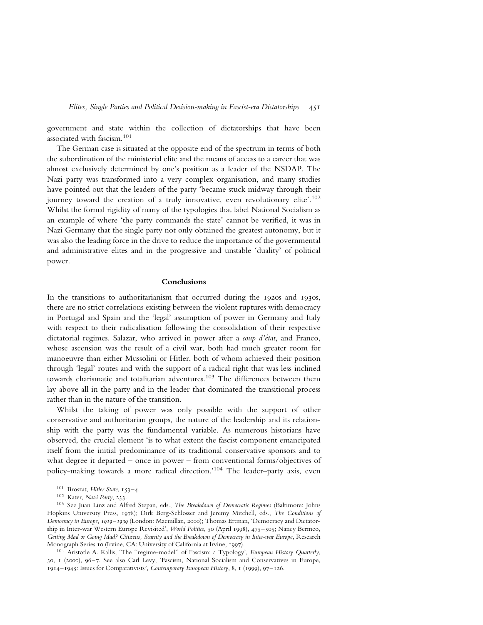government and state within the collection of dictatorships that have been associated with fascism.<sup>101</sup>

The German case is situated at the opposite end of the spectrum in terms of both the subordination of the ministerial elite and the means of access to a career that was almost exclusively determined by one's position as a leader of the NSDAP. The Nazi party was transformed into a very complex organisation, and many studies have pointed out that the leaders of the party 'became stuck midway through their journey toward the creation of a truly innovative, even revolutionary elite'.<sup>102</sup> Whilst the formal rigidity of many of the typologies that label National Socialism as an example of where 'the party commands the state' cannot be verified, it was in Nazi Germany that the single party not only obtained the greatest autonomy, but it was also the leading force in the drive to reduce the importance of the governmental and administrative elites and in the progressive and unstable `duality' of political power.

# Conclusions

In the transitions to authoritarianism that occurred during the 1920s and 1930s, there are no strict correlations existing between the violent ruptures with democracy in Portugal and Spain and the `legal' assumption of power in Germany and Italy with respect to their radicalisation following the consolidation of their respective dictatorial regimes. Salazar, who arrived in power after a *coup d'état*, and Franco, whose ascension was the result of a civil war, both had much greater room for manoeuvre than either Mussolini or Hitler, both of whom achieved their position through 'legal' routes and with the support of a radical right that was less inclined towards charismatic and totalitarian adventures.<sup>103</sup> The differences between them lay above all in the party and in the leader that dominated the transitional process rather than in the nature of the transition.

Whilst the taking of power was only possible with the support of other conservative and authoritarian groups, the nature of the leadership and its relationship with the party was the fundamental variable. As numerous historians have observed, the crucial element `is to what extent the fascist component emancipated itself from the initial predominance of its traditional conservative sponsors and to what degree it departed  $-$  once in power  $-$  from conventional forms/objectives of policy-making towards a more radical direction.'<sup>104</sup> The leader-party axis, even

<sup>103</sup> See Juan Linz and Alfred Stepan, eds., The Breakdown of Democratic Regimes (Baltimore: Johns Hopkins University Press, 1978); Dirk Berg-Schlosser and Jeremy Mitchell, eds., The Conditions of Democracy in Europe, 1919-1939 (London: Macmillan, 2000); Thomas Ertman, 'Democracy and Dictatorship in Inter-war Western Europe Revisited', World Politics, 50 (April 1998), 475-505; Nancy Bermeo, Getting Mad or Going Mad? Citizens, Scarcity and the Breakdown of Democracy in Inter-war Europe, Research Monograph Series 10 (Irvine, CA: University of California at Irvine, 1997).

<sup>104</sup> Aristotle A. Kallis, 'The "regime-model" of Fascism: a Typology', European History Quarterly, 30, 1 (2000), 96-7. See also Carl Levy, 'Fascism, National Socialism and Conservatives in Europe, 1914-1945: Issues for Comparativists', Contemporary European History, 8, 1 (1999), 97-126.

<sup>101</sup> Broszat, Hitler State,  $153-4$ .

<sup>102</sup> Kater, Nazi Party, 233.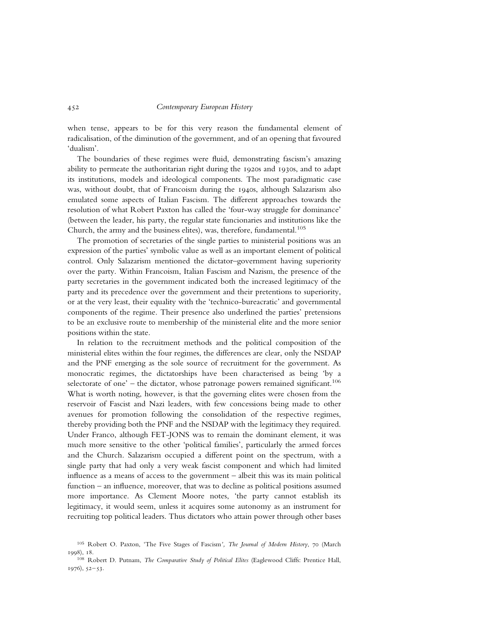when tense, appears to be for this very reason the fundamental element of radicalisation, of the diminution of the government, and of an opening that favoured `dualism'.

The boundaries of these regimes were fluid, demonstrating fascism's amazing ability to permeate the authoritarian right during the 1920s and 1930s, and to adapt its institutions, models and ideological components. The most paradigmatic case was, without doubt, that of Francoism during the 1940s, although Salazarism also emulated some aspects of Italian Fascism. The different approaches towards the resolution of what Robert Paxton has called the 'four-way struggle for dominance' (between the leader, his party, the regular state funcionaries and institutions like the Church, the army and the business elites), was, therefore, fundamental.<sup>105</sup>

The promotion of secretaries of the single parties to ministerial positions was an expression of the parties' symbolic value as well as an important element of political control. Only Salazarism mentioned the dictator-government having superiority over the party. Within Francoism, Italian Fascism and Nazism, the presence of the party secretaries in the government indicated both the increased legitimacy of the party and its precedence over the government and their pretentions to superiority, or at the very least, their equality with the `technico-bureacratic' and governmental components of the regime. Their presence also underlined the parties' pretensions to be an exclusive route to membership of the ministerial elite and the more senior positions within the state.

In relation to the recruitment methods and the political composition of the ministerial elites within the four regimes, the differences are clear, only the NSDAP and the PNF emerging as the sole source of recruitment for the government. As monocratic regimes, the dictatorships have been characterised as being `by a selectorate of one'  $-$  the dictator, whose patronage powers remained significant.<sup>106</sup> What is worth noting, however, is that the governing elites were chosen from the reservoir of Fascist and Nazi leaders, with few concessions being made to other avenues for promotion following the consolidation of the respective regimes, thereby providing both the PNF and the NSDAP with the legitimacy they required. Under Franco, although FET-JONS was to remain the dominant element, it was much more sensitive to the other `political families', particularly the armed forces and the Church. Salazarism occupied a different point on the spectrum, with a single party that had only a very weak fascist component and which had limited influence as a means of access to the government  $-$  albeit this was its main political  $function - an influence, moreover, that was to decline as political positions assumed$ more importance. As Clement Moore notes, `the party cannot establish its legitimacy, it would seem, unless it acquires some autonomy as an instrument for recruiting top political leaders. Thus dictators who attain power through other bases

<sup>105</sup> Robert O. Paxton, 'The Five Stages of Fascism', The Journal of Modern History, 70 (March 1998), 18.

<sup>108</sup> Robert D. Putnam, The Comparative Study of Political Elites (Eaglewood Cliffs: Prentice Hall,  $1976$ ,  $52-53$ .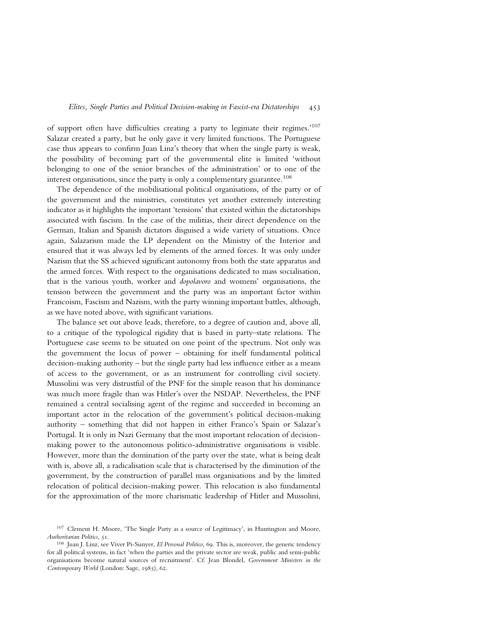of support often have difficulties creating a party to legimate their regimes.'107 Salazar created a party, but he only gave it very limited functions. The Portuguese case thus appears to confirm Juan Linz's theory that when the single party is weak, the possibility of becoming part of the governmental elite is limited `without belonging to one of the senior branches of the administration' or to one of the interest organisations, since the party is only a complementary guarantee.<sup>108</sup>

The dependence of the mobilisational political organisations, of the party or of the government and the ministries, constitutes yet another extremely interesting indicator as it highlights the important `tensions' that existed within the dictatorships associated with fascism. In the case of the militias, their direct dependence on the German, Italian and Spanish dictators disguised a wide variety of situations. Once again, Salazarism made the LP dependent on the Ministry of the Interior and ensured that it was always led by elements of the armed forces. It was only under Nazism that the SS achieved significant autonomy from both the state apparatus and the armed forces. With respect to the organisations dedicated to mass socialisation, that is the various youth, worker and dopolavoro and womens' organisations, the tension between the government and the party was an important factor within Francoism, Fascism and Nazism, with the party winning important battles, although, as we have noted above, with significant variations.

The balance set out above leads, therefore, to a degree of caution and, above all, to a critique of the typological rigidity that is based in party-state relations. The Portuguese case seems to be situated on one point of the spectrum. Not only was the government the locus of power  $-$  obtaining for itself fundamental political  $decision-making authority - but the single party had less influence either as a means$ of access to the government, or as an instrument for controlling civil society. Mussolini was very distrustful of the PNF for the simple reason that his dominance was much more fragile than was Hitler's over the NSDAP. Nevertheless, the PNF remained a central socialising agent of the regime and succeeded in becoming an important actor in the relocation of the government's political decision-making authority - something that did not happen in either Franco's Spain or Salazar's Portugal. It is only in Nazi Germany that the most important relocation of decisionmaking power to the autonomous politico-administrative organisations is visible. However, more than the domination of the party over the state, what is being dealt with is, above all, a radicalisation scale that is characterised by the diminution of the government, by the construction of parallel mass organisations and by the limited relocation of political decision-making power. This relocation is also fundamental for the approximation of the more charismatic leadership of Hitler and Mussolini,

<sup>&</sup>lt;sup>107</sup> Clement H. Moore, 'The Single Party as a source of Legitimacy', in Huntington and Moore, Authoritarian Politics, 51.

<sup>&</sup>lt;sup>108</sup> Juan J. Linz, see Viver Pi-Sunyer, El Personal Politico, 69. This is, moreover, the generic tendency for all political systems, in fact 'when the parties and the private sector are weak, public and semi-public organisations become natural sources of recruitment'. Cf. Jean Blondel, Government Ministers in the Contemporary World (London: Sage, 1985), 62.